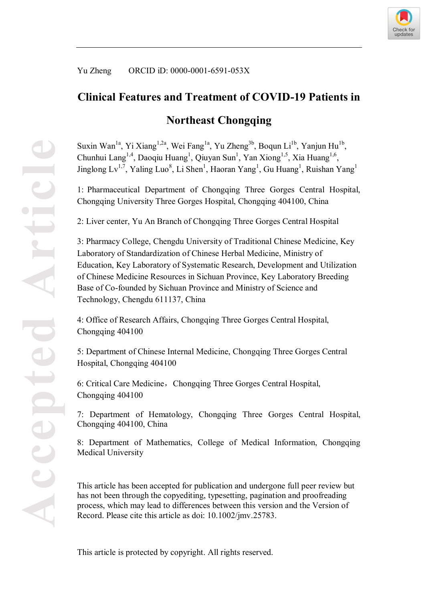

Yu Zheng ORCID iD: 0000-0001-6591-053X

# **Clinical Features and Treatment of COVID-19 Patients in**

# **Northeast Chongqing**

Suxin Wan<sup>1a</sup>, Yi Xiang<sup>1,2a</sup>, Wei Fang<sup>1a</sup>, Yu Zheng<sup>3b</sup>, Boqun Li<sup>1b</sup>, Yanjun Hu<sup>1b</sup>, Chunhui Lang<sup>1,4</sup>, Daoqiu Huang<sup>1</sup>, Qiuyan Sun<sup>1</sup>, Yan Xiong<sup>1,5</sup>, Xia Huang<sup>1,6</sup>, Jinglong  $Lv^{1,7}$ , Yaling Luo<sup>8</sup>, Li Shen<sup>1</sup>, Haoran Yang<sup>1</sup>, Gu Huang<sup>1</sup>, Ruishan Yang<sup>1</sup>

1: Pharmaceutical Department of Chongqing Three Gorges Central Hospital, Chongqing University Three Gorges Hospital, Chongqing 404100, China

2: Liver center, Yu An Branch of Chongqing Three Gorges Central Hospital

3: Pharmacy College, Chengdu University of Traditional Chinese Medicine, Key Laboratory of Standardization of Chinese Herbal Medicine, Ministry of Education, Key Laboratory of Systematic Research, Development and Utilization of Chinese Medicine Resources in Sichuan Province, Key Laboratory Breeding Base of Co-founded by Sichuan Province and Ministry of Science and Technology, Chengdu 611137, China

4: Office of Research Affairs, Chongqing Three Gorges Central Hospital, Chongqing 404100

5: Department of Chinese Internal Medicine, Chongqing Three Gorges Central Hospital, Chongqing 404100

6: Critical Care Medicine, Chongqing Three Gorges Central Hospital, Chongqing 404100

7: Department of Hematology, Chongqing Three Gorges Central Hospital, Chongqing 404100, China

8: Department of Mathematics, College of Medical Information, Chongqing Medical University

This article has been accepted for publication and undergone full peer review but has not been through the copyediting, typesetting, pagination and proofreading process, which may lead to differences between this version and the Version of Record. Please cite this article as doi: 10.1002/jmv.25783.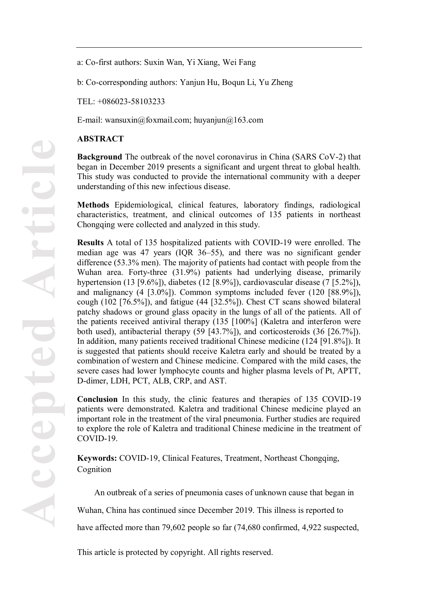a: Co-first authors: Suxin Wan, Yi Xiang, Wei Fang

b: Co-corresponding authors: Yanjun Hu, Boqun Li, Yu Zheng

TEL: +086023-58103233

E-mail: wansuxin@foxmail.com; huyanjun@163.com

### **ABSTRACT**

**Background** The outbreak of the novel coronavirus in China (SARS CoV-2) that began in December 2019 presents a significant and urgent threat to global health. This study was conducted to provide the international community with a deeper understanding of this new infectious disease.

**Methods** Epidemiological, clinical features, laboratory findings, radiological characteristics, treatment, and clinical outcomes of 135 patients in northeast Chongqing were collected and analyzed in this study.

**Results** A total of 135 hospitalized patients with COVID-19 were enrolled. The median age was 47 years (IQR 36–55), and there was no significant gender difference (53.3% men). The majority of patients had contact with people from the Wuhan area. Forty-three (31.9%) patients had underlying disease, primarily hypertension (13 [9.6%]), diabetes (12 [8.9%]), cardiovascular disease (7 [5.2%]), and malignancy (4 [3.0%]). Common symptoms included fever (120 [88.9%]), cough (102 [76.5%]), and fatigue (44 [32.5%]). Chest CT scans showed bilateral patchy shadows or ground glass opacity in the lungs of all of the patients. All of the patients received antiviral therapy (135 [100%] (Kaletra and interferon were both used), antibacterial therapy (59 [43.7%]), and corticosteroids (36 [26.7%]). In addition, many patients received traditional Chinese medicine (124 [91.8%]). It is suggested that patients should receive Kaletra early and should be treated by a combination of western and Chinese medicine. Compared with the mild cases, the severe cases had lower lymphocyte counts and higher plasma levels of Pt, APTT, D-dimer, LDH, PCT, ALB, CRP, and AST.

**Conclusion** In this study, the clinic features and therapies of 135 COVID-19 patients were demonstrated. Kaletra and traditional Chinese medicine played an important role in the treatment of the viral pneumonia. Further studies are required to explore the role of Kaletra and traditional Chinese medicine in the treatment of COVID-19.

**Keywords:** COVID-19, Clinical Features, Treatment, Northeast Chongqing, Cognition

An outbreak of a series of pneumonia cases of unknown cause that began in

Wuhan, China has continued since December 2019. This illness is reported to

have affected more than 79,602 people so far  $(74,680 \text{ confirmed}, 4,922 \text{ suspected},$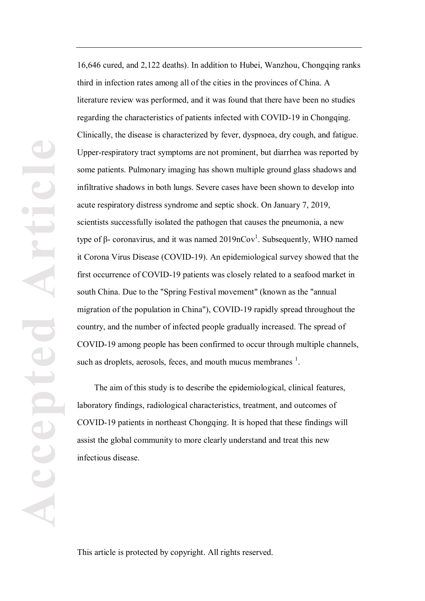16,646 cured, and 2,122 deaths). In addition to Hubei, Wanzhou, Chongqing ranks third in infection rates among all of the cities in the provinces of China. A literature review was performed, and it was found that there have been no studies regarding the characteristics of patients infected with COVID-19 in Chongqing. Clinically, the disease is characterized by fever, dyspnoea, dry cough, and fatigue. Upper-respiratory tract symptoms are not prominent, but diarrhea was reported by some patients. Pulmonary imaging has shown multiple ground glass shadows and infiltrative shadows in both lungs. Severe cases have been shown to develop into acute respiratory distress syndrome and septic shock. On January 7, 2019, scientists successfully isolated the pathogen that causes the pneumonia, a new type of  $\beta$ - coronavirus, and it was named 2019nCov<sup>1</sup>. Subsequently, WHO named it Corona Virus Disease (COVID-19). An epidemiological survey showed that the first occurrence of COVID-19 patients was closely related to a seafood market in south China. Due to the "Spring Festival movement" (known as the "annual migration of the population in China"), COVID-19 rapidly spread throughout the country, and the number of infected people gradually increased. The spread of COVID-19 among people has been confirmed to occur through multiple channels, such as droplets, aerosols, feces, and mouth mucus membranes  $<sup>1</sup>$ .</sup>

The aim of this study is to describe the epidemiological, clinical features, laboratory findings, radiological characteristics, treatment, and outcomes of COVID-19 patients in northeast Chongqing. It is hoped that these findings will assist the global community to more clearly understand and treat this new infectious disease.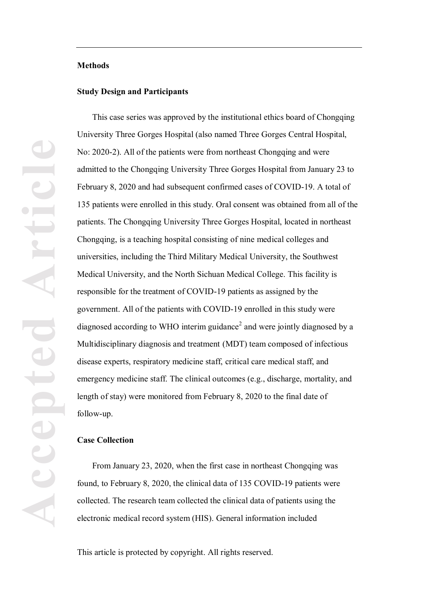#### **Methods**

#### **Study Design and Participants**

This case series was approved by the institutional ethics board of Chongqing University Three Gorges Hospital (also named Three Gorges Central Hospital, No: 2020-2). All of the patients were from northeast Chongqing and were admitted to the Chongqing University Three Gorges Hospital from January 23 to February 8, 2020 and had subsequent confirmed cases of COVID-19. A total of 135 patients were enrolled in this study. Oral consent was obtained from all of the patients. The Chongqing University Three Gorges Hospital, located in northeast Chongqing, is a teaching hospital consisting of nine medical colleges and universities, including the Third Military Medical University, the Southwest Medical University, and the North Sichuan Medical College. This facility is responsible for the treatment of COVID-19 patients as assigned by the government. All of the patients with COVID-19 enrolled in this study were diagnosed according to WHO interim guidance<sup>2</sup> and were jointly diagnosed by a Multidisciplinary diagnosis and treatment (MDT) team composed of infectious disease experts, respiratory medicine staff, critical care medical staff, and emergency medicine staff. The clinical outcomes (e.g., discharge, mortality, and length of stay) were monitored from February 8, 2020 to the final date of follow-up.

#### **Case Collection**

From January 23, 2020, when the first case in northeast Chongqing was found, to February 8, 2020, the clinical data of 135 COVID-19 patients were collected. The research team collected the clinical data of patients using the electronic medical record system (HIS). General information included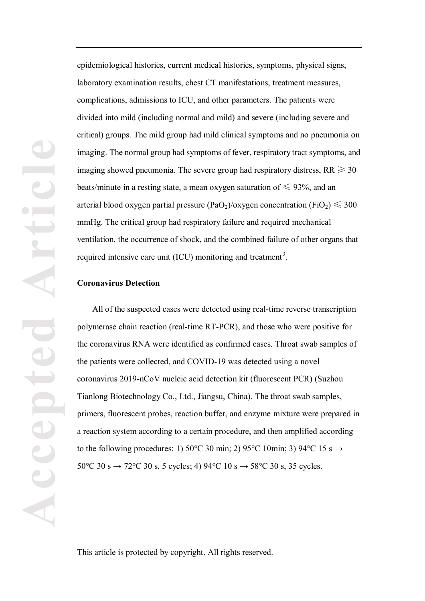epidemiological histories, current medical histories, symptoms, physical signs, laboratory examination results, chest CT manifestations, treatment measures, complications, admissions to ICU, and other parameters. The patients were divided into mild (including normal and mild) and severe (including severe and critical) groups. The mild group had mild clinical symptoms and no pneumonia on imaging. The normal group had symptoms of fever, respiratory tract symptoms, and imaging showed pneumonia. The severe group had respiratory distress,  $RR \geq 30$ beats/minute in a resting state, a mean oxygen saturation of  $\leq 93\%$ , and an arterial blood oxygen partial pressure (PaO<sub>2</sub>)/oxygen concentration (FiO<sub>2</sub>)  $\leq$  300 mmHg. The critical group had respiratory failure and required mechanical ventilation, the occurrence of shock, and the combined failure of other organs that required intensive care unit (ICU) monitoring and treatment<sup>3</sup>.

#### **Coronavirus Detection**

All of the suspected cases were detected using real-time reverse transcription polymerase chain reaction (real-time RT-PCR), and those who were positive for the coronavirus RNA were identified as confirmed cases. Throat swab samples of the patients were collected, and COVID-19 was detected using a novel coronavirus 2019-nCoV nucleic acid detection kit (fluorescent PCR) (Suzhou Tianlong Biotechnology Co., Ltd., Jiangsu, China). The throat swab samples, primers, fluorescent probes, reaction buffer, and enzyme mixture were prepared in a reaction system according to a certain procedure, and then amplified according to the following procedures: 1) 50°C 30 min; 2) 95°C 10min; 3) 94°C 15 s  $\rightarrow$ 50°C 30 s  $\rightarrow$  72°C 30 s, 5 cycles; 4) 94°C 10 s  $\rightarrow$  58°C 30 s, 35 cycles.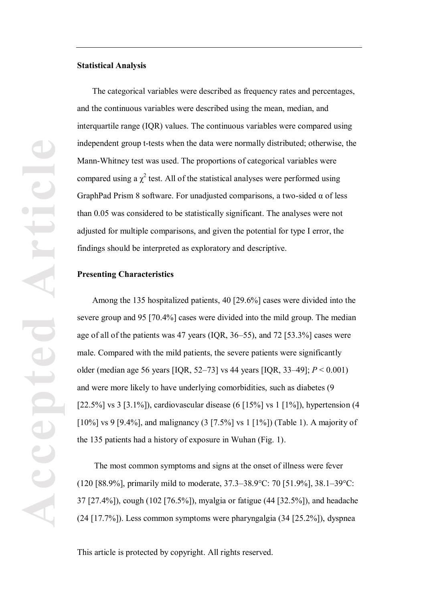#### **Statistical Analysis**

The categorical variables were described as frequency rates and percentages, and the continuous variables were described using the mean, median, and interquartile range (IQR) values. The continuous variables were compared using independent group t-tests when the data were normally distributed; otherwise, the Mann-Whitney test was used. The proportions of categorical variables were compared using a  $\chi^2$  test. All of the statistical analyses were performed using GraphPad Prism 8 software. For unadjusted comparisons, a two-sided α of less than 0.05 was considered to be statistically significant. The analyses were not adjusted for multiple comparisons, and given the potential for type I error, the findings should be interpreted as exploratory and descriptive.

#### **Presenting Characteristics**

Among the 135 hospitalized patients, 40 [29.6%] cases were divided into the severe group and 95 [70.4%] cases were divided into the mild group. The median age of all of the patients was 47 years (IQR, 36–55), and 72 [53.3%] cases were male. Compared with the mild patients, the severe patients were significantly older (median age 56 years [IQR, 52–73] vs 44 years [IQR, 33–49]; *P* < 0.001) and were more likely to have underlying comorbidities, such as diabetes (9 [22.5%] vs 3 [3.1%]), cardiovascular disease (6 [15%] vs 1 [1%]), hypertension (4 [10%] vs 9 [9.4%], and malignancy (3 [7.5%] vs 1 [1%]) (Table 1). A majority of the 135 patients had a history of exposure in Wuhan (Fig. 1).

The most common symptoms and signs at the onset of illness were fever (120 [88.9%], primarily mild to moderate, 37.3–38.9°C: 70 [51.9%], 38.1–39°C: 37 [27.4%]), cough (102 [76.5%]), myalgia or fatigue (44 [32.5%]), and headache (24 [17.7%]). Less common symptoms were pharyngalgia (34 [25.2%]), dyspnea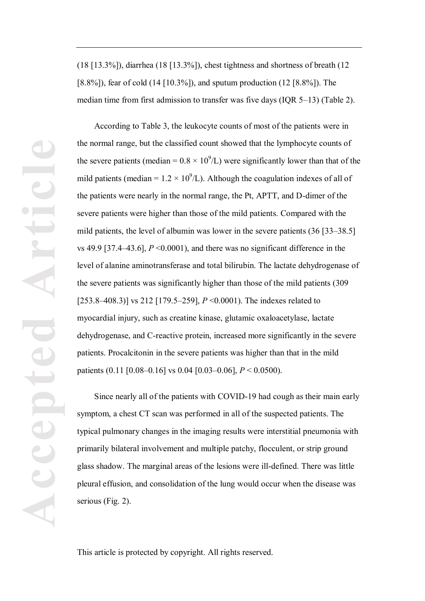(18 [13.3%]), diarrhea (18 [13.3%]), chest tightness and shortness of breath (12 [8.8%]), fear of cold (14 [10.3%]), and sputum production (12 [8.8%]). The median time from first admission to transfer was five days (IQR 5–13) (Table 2).

According to Table 3, the leukocyte counts of most of the patients were in the normal range, but the classified count showed that the lymphocyte counts of the severe patients (median =  $0.8 \times 10^9$ /L) were significantly lower than that of the mild patients (median =  $1.2 \times 10^9$ /L). Although the coagulation indexes of all of the patients were nearly in the normal range, the Pt, APTT, and D-dimer of the severe patients were higher than those of the mild patients. Compared with the mild patients, the level of albumin was lower in the severe patients (36 [33–38.5] vs 49.9 [37.4–43.6],  $P \le 0.0001$ , and there was no significant difference in the level of alanine aminotransferase and total bilirubin. The lactate dehydrogenase of the severe patients was significantly higher than those of the mild patients (309 [253.8–408.3)] vs 212 [179.5–259], *P* <0.0001). The indexes related to myocardial injury, such as creatine kinase, glutamic oxaloacetylase, lactate dehydrogenase, and C-reactive protein, increased more significantly in the severe patients. Procalcitonin in the severe patients was higher than that in the mild patients (0.11 [0.08–0.16] vs 0.04 [0.03–0.06], *P* < 0.0500).

Since nearly all of the patients with COVID-19 had cough as their main early symptom, a chest CT scan was performed in all of the suspected patients. The typical pulmonary changes in the imaging results were interstitial pneumonia with primarily bilateral involvement and multiple patchy, flocculent, or strip ground glass shadow. The marginal areas of the lesions were ill-defined. There was little pleural effusion, and consolidation of the lung would occur when the disease was serious (Fig. 2).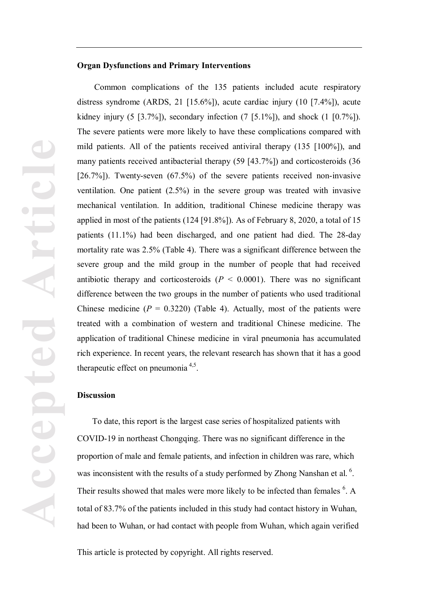#### **Organ Dysfunctions and Primary Interventions**

Common complications of the 135 patients included acute respiratory distress syndrome (ARDS, 21 [15.6%]), acute cardiac injury (10 [7.4%]), acute kidney injury (5 [3.7%]), secondary infection (7 [5.1%]), and shock (1 [0.7%]). The severe patients were more likely to have these complications compared with mild patients. All of the patients received antiviral therapy (135 [100%]), and many patients received antibacterial therapy (59 [43.7%]) and corticosteroids (36 [26.7%]). Twenty-seven (67.5%) of the severe patients received non-invasive ventilation. One patient (2.5%) in the severe group was treated with invasive mechanical ventilation. In addition, traditional Chinese medicine therapy was applied in most of the patients (124 [91.8%]). As of February 8, 2020, a total of 15 patients (11.1%) had been discharged, and one patient had died. The 28-day mortality rate was 2.5% (Table 4). There was a significant difference between the severe group and the mild group in the number of people that had received antibiotic therapy and corticosteroids  $(P < 0.0001)$ . There was no significant difference between the two groups in the number of patients who used traditional Chinese medicine  $(P = 0.3220)$  (Table 4). Actually, most of the patients were treated with a combination of western and traditional Chinese medicine. The application of traditional Chinese medicine in viral pneumonia has accumulated rich experience. In recent years, the relevant research has shown that it has a good therapeutic effect on pneumonia  $4,5$ .

#### **Discussion**

To date, this report is the largest case series of hospitalized patients with COVID-19 in northeast Chongqing. There was no significant difference in the proportion of male and female patients, and infection in children was rare, which was inconsistent with the results of a study performed by Zhong Nanshan et al.  $6$ . Their results showed that males were more likely to be infected than females <sup>6</sup>. A total of 83.7% of the patients included in this study had contact history in Wuhan, had been to Wuhan, or had contact with people from Wuhan, which again verified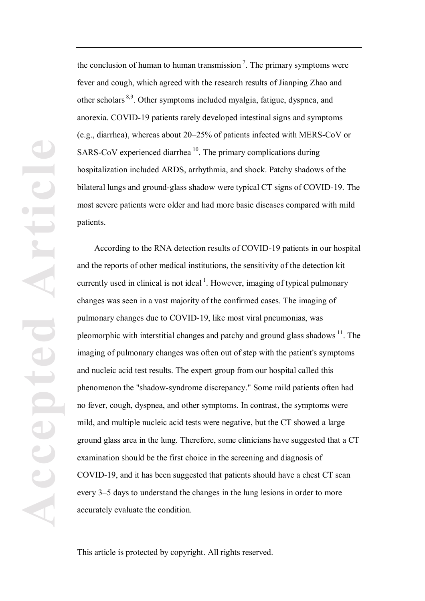the conclusion of human to human transmission<sup>7</sup>. The primary symptoms were fever and cough, which agreed with the research results of Jianping Zhao and other scholars 8,9. Other symptoms included myalgia, fatigue, dyspnea, and anorexia. COVID-19 patients rarely developed intestinal signs and symptoms (e.g., diarrhea), whereas about 20–25% of patients infected with MERS-CoV or SARS-CoV experienced diarrhea  $10$ . The primary complications during hospitalization included ARDS, arrhythmia, and shock. Patchy shadows of the bilateral lungs and ground-glass shadow were typical CT signs of COVID-19. The most severe patients were older and had more basic diseases compared with mild patients.

According to the RNA detection results of COVID-19 patients in our hospital and the reports of other medical institutions, the sensitivity of the detection kit currently used in clinical is not ideal<sup>1</sup>. However, imaging of typical pulmonary changes was seen in a vast majority of the confirmed cases. The imaging of pulmonary changes due to COVID-19, like most viral pneumonias, was pleomorphic with interstitial changes and patchy and ground glass shadows  $^{11}$ . The imaging of pulmonary changes was often out of step with the patient's symptoms and nucleic acid test results. The expert group from our hospital called this phenomenon the "shadow-syndrome discrepancy." Some mild patients often had no fever, cough, dyspnea, and other symptoms. In contrast, the symptoms were mild, and multiple nucleic acid tests were negative, but the CT showed a large ground glass area in the lung. Therefore, some clinicians have suggested that a CT examination should be the first choice in the screening and diagnosis of COVID-19, and it has been suggested that patients should have a chest CT scan every 3–5 days to understand the changes in the lung lesions in order to more accurately evaluate the condition.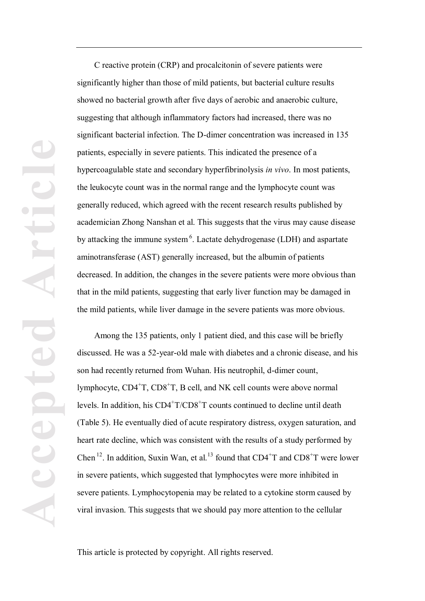C reactive protein (CRP) and procalcitonin of severe patients were significantly higher than those of mild patients, but bacterial culture results showed no bacterial growth after five days of aerobic and anaerobic culture, suggesting that although inflammatory factors had increased, there was no significant bacterial infection. The D-dimer concentration was increased in 135 patients, especially in severe patients. This indicated the presence of a hypercoagulable state and secondary hyperfibrinolysis *in vivo*. In most patients, the leukocyte count was in the normal range and the lymphocyte count was generally reduced, which agreed with the recent research results published by academician Zhong Nanshan et al. This suggests that the virus may cause disease by attacking the immune system<sup>6</sup>. Lactate dehydrogenase (LDH) and aspartate aminotransferase (AST) generally increased, but the albumin of patients decreased. In addition, the changes in the severe patients were more obvious than that in the mild patients, suggesting that early liver function may be damaged in the mild patients, while liver damage in the severe patients was more obvious.

Among the 135 patients, only 1 patient died, and this case will be briefly discussed. He was a 52-year-old male with diabetes and a chronic disease, and his son had recently returned from Wuhan. His neutrophil, d-dimer count, lymphocyte, CD4<sup>+</sup>T, CD8<sup>+</sup>T, B cell, and NK cell counts were above normal levels. In addition, his  $CD4+T/CD8+T$  counts continued to decline until death (Table 5). He eventually died of acute respiratory distress, oxygen saturation, and heart rate decline, which was consistent with the results of a study performed by Chen <sup>12</sup>. In addition, Suxin Wan, et al.<sup>13</sup> found that  $CD4+T$  and  $CD8+T$  were lower in severe patients, which suggested that lymphocytes were more inhibited in severe patients. Lymphocytopenia may be related to a cytokine storm caused by viral invasion. This suggests that we should pay more attention to the cellular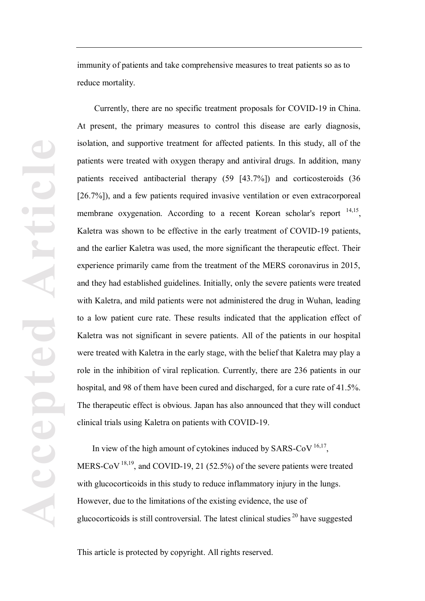immunity of patients and take comprehensive measures to treat patients so as to reduce mortality.

Currently, there are no specific treatment proposals for COVID-19 in China. At present, the primary measures to control this disease are early diagnosis, isolation, and supportive treatment for affected patients. In this study, all of the patients were treated with oxygen therapy and antiviral drugs. In addition, many patients received antibacterial therapy (59 [43.7%]) and corticosteroids (36 [26.7%]), and a few patients required invasive ventilation or even extracorporeal membrane oxygenation. According to a recent Korean scholar's report <sup>14,15</sup>, Kaletra was shown to be effective in the early treatment of COVID-19 patients, and the earlier Kaletra was used, the more significant the therapeutic effect. Their experience primarily came from the treatment of the MERS coronavirus in 2015, and they had established guidelines. Initially, only the severe patients were treated with Kaletra, and mild patients were not administered the drug in Wuhan, leading to a low patient cure rate. These results indicated that the application effect of Kaletra was not significant in severe patients. All of the patients in our hospital were treated with Kaletra in the early stage, with the belief that Kaletra may play a role in the inhibition of viral replication. Currently, there are 236 patients in our hospital, and 98 of them have been cured and discharged, for a cure rate of 41.5%. The therapeutic effect is obvious. Japan has also announced that they will conduct clinical trials using Kaletra on patients with COVID-19.

In view of the high amount of cytokines induced by SARS-CoV<sup>16,17</sup>, MERS-CoV  $^{18,19}$ , and COVID-19, 21 (52.5%) of the severe patients were treated with glucocorticoids in this study to reduce inflammatory injury in the lungs. However, due to the limitations of the existing evidence, the use of glucocorticoids is still controversial. The latest clinical studies  $20$  have suggested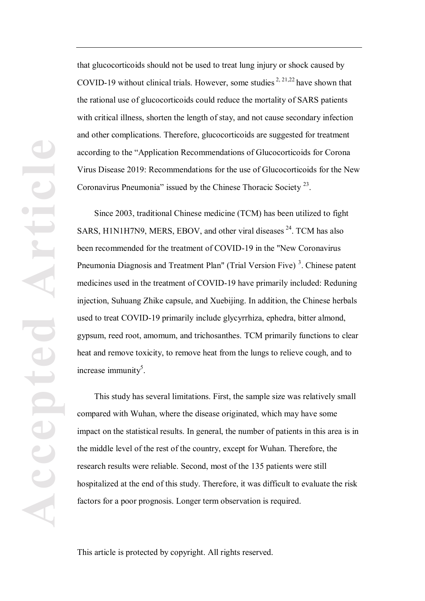that glucocorticoids should not be used to treat lung injury or shock caused by COVID-19 without clinical trials. However, some studies  $2, 21, 22$  have shown that the rational use of glucocorticoids could reduce the mortality of SARS patients with critical illness, shorten the length of stay, and not cause secondary infection and other complications. Therefore, glucocorticoids are suggested for treatment according to the "Application Recommendations of Glucocorticoids for Corona Virus Disease 2019: Recommendations for the use of Glucocorticoids for the New Coronavirus Pneumonia" issued by the Chinese Thoracic Society 23.

Since 2003, traditional Chinese medicine (TCM) has been utilized to fight SARS, H1N1H7N9, MERS, EBOV, and other viral diseases  $^{24}$ . TCM has also been recommended for the treatment of COVID-19 in the "New Coronavirus Pneumonia Diagnosis and Treatment Plan" (Trial Version Five)<sup>3</sup>. Chinese patent medicines used in the treatment of COVID-19 have primarily included: Reduning injection, Suhuang Zhike capsule, and Xuebijing. In addition, the Chinese herbals used to treat COVID-19 primarily include glycyrrhiza, ephedra, bitter almond, gypsum, reed root, amomum, and trichosanthes. TCM primarily functions to clear heat and remove toxicity, to remove heat from the lungs to relieve cough, and to increase immunity<sup>5</sup>.

This study has several limitations. First, the sample size was relatively small compared with Wuhan, where the disease originated, which may have some impact on the statistical results. In general, the number of patients in this area is in the middle level of the rest of the country, except for Wuhan. Therefore, the research results were reliable. Second, most of the 135 patients were still hospitalized at the end of this study. Therefore, it was difficult to evaluate the risk factors for a poor prognosis. Longer term observation is required.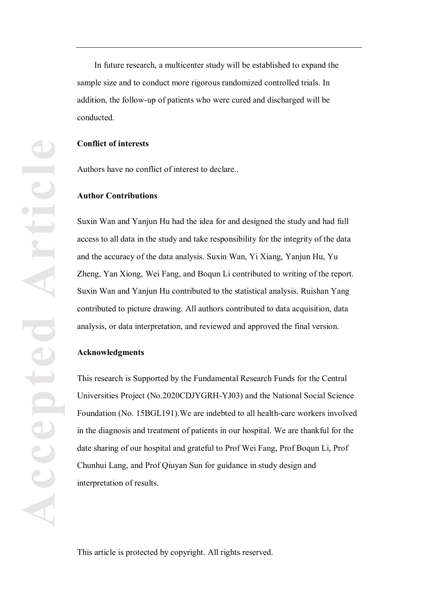In future research, a multicenter study will be established to expand the sample size and to conduct more rigorous randomized controlled trials. In addition, the follow-up of patients who were cured and discharged will be conducted.

#### **Conflict of interests**

Authors have no conflict of interest to declare..

#### **Author Contributions**

Suxin Wan and Yanjun Hu had the idea for and designed the study and had full access to all data in the study and take responsibility for the integrity of the data and the accuracy of the data analysis. Suxin Wan, Yi Xiang, Yanjun Hu, Yu Zheng, Yan Xiong, Wei Fang, and Boqun Li contributed to writing of the report. Suxin Wan and Yanjun Hu contributed to the statistical analysis. Ruishan Yang contributed to picture drawing. All authors contributed to data acquisition, data analysis, or data interpretation, and reviewed and approved the final version.

#### **Acknowledgments**

This research is Supported by the Fundamental Research Funds for the Central Universities Project (No.2020CDJYGRH-YJ03) and the National Social Science Foundation (No. 15BGL191).We are indebted to all health-care workers involved in the diagnosis and treatment of patients in our hospital. We are thankful for the date sharing of our hospital and grateful to Prof Wei Fang, Prof Boqun Li, Prof Chunhui Lang, and Prof Qiuyan Sun for guidance in study design and interpretation of results.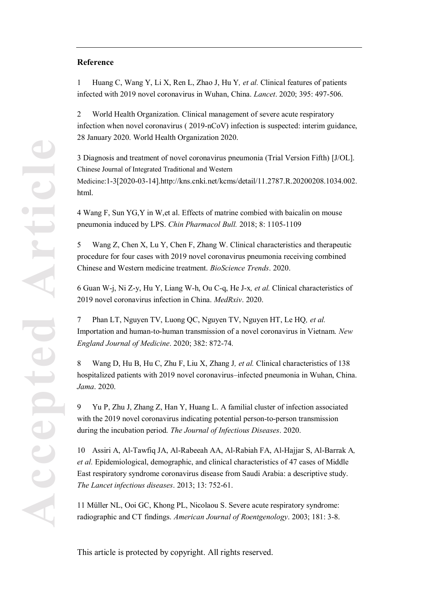#### **Reference**

1 Huang C, Wang Y, Li X, Ren L, Zhao J, Hu Y*, et al.* Clinical features of patients infected with 2019 novel coronavirus in Wuhan, China. *Lancet*. 2020; 395: 497-506.

2 World Health Organization. Clinical management of severe acute respiratory infection when novel coronavirus ( 2019-nCoV) infection is suspected: interim guidance, 28 January 2020. World Health Organization 2020.

3 Diagnosis and treatment of novel coronavirus pneumonia (Trial Version Fifth) [J/OL]. Chinese Journal of Integrated Traditional and Western Medicine:1-3[2020-03-14].http://kns.cnki.net/kcms/detail/11.2787.R.20200208.1034.002. html.

4 Wang F, Sun YG,Y in W,et al. Effects of matrine combied with baicalin on mouse pneumonia induced by LPS. *Chin Pharmacol Bull.* 2018; 8: 1105-1109

5 Wang Z, Chen X, Lu Y, Chen F, Zhang W. Clinical characteristics and therapeutic procedure for four cases with 2019 novel coronavirus pneumonia receiving combined Chinese and Western medicine treatment. *BioScience Trends*. 2020.

6 Guan W-j, Ni Z-y, Hu Y, Liang W-h, Ou C-q, He J-x*, et al.* Clinical characteristics of 2019 novel coronavirus infection in China. *MedRxiv*. 2020.

7 Phan LT, Nguyen TV, Luong QC, Nguyen TV, Nguyen HT, Le HQ*, et al.* Importation and human-to-human transmission of a novel coronavirus in Vietnam. *New England Journal of Medicine*. 2020; 382: 872-74.

8 Wang D, Hu B, Hu C, Zhu F, Liu X, Zhang J*, et al.* Clinical characteristics of 138 hospitalized patients with 2019 novel coronavirus–infected pneumonia in Wuhan, China. *Jama*. 2020.

9 Yu P, Zhu J, Zhang Z, Han Y, Huang L. A familial cluster of infection associated with the 2019 novel coronavirus indicating potential person-to-person transmission during the incubation period. *The Journal of Infectious Diseases*. 2020.

10 Assiri A, Al-Tawfiq JA, Al-Rabeeah AA, Al-Rabiah FA, Al-Hajjar S, Al-Barrak A*, et al.* Epidemiological, demographic, and clinical characteristics of 47 cases of Middle East respiratory syndrome coronavirus disease from Saudi Arabia: a descriptive study. *The Lancet infectious diseases*. 2013; 13: 752-61.

11 Müller NL, Ooi GC, Khong PL, Nicolaou S. Severe acute respiratory syndrome: radiographic and CT findings. *American Journal of Roentgenology*. 2003; 181: 3-8.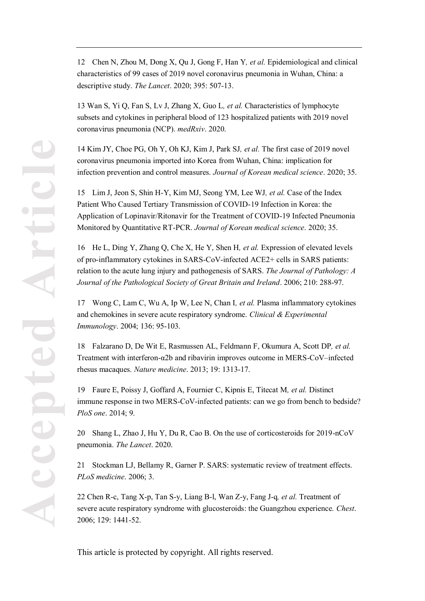12 Chen N, Zhou M, Dong X, Qu J, Gong F, Han Y*, et al.* Epidemiological and clinical characteristics of 99 cases of 2019 novel coronavirus pneumonia in Wuhan, China: a descriptive study. *The Lancet*. 2020; 395: 507-13.

13 Wan S, Yi Q, Fan S, Lv J, Zhang X, Guo L*, et al.* Characteristics of lymphocyte subsets and cytokines in peripheral blood of 123 hospitalized patients with 2019 novel coronavirus pneumonia (NCP). *medRxiv*. 2020.

14 Kim JY, Choe PG, Oh Y, Oh KJ, Kim J, Park SJ*, et al.* The first case of 2019 novel coronavirus pneumonia imported into Korea from Wuhan, China: implication for infection prevention and control measures. *Journal of Korean medical science*. 2020; 35.

15 Lim J, Jeon S, Shin H-Y, Kim MJ, Seong YM, Lee WJ*, et al.* Case of the Index Patient Who Caused Tertiary Transmission of COVID-19 Infection in Korea: the Application of Lopinavir/Ritonavir for the Treatment of COVID-19 Infected Pneumonia Monitored by Quantitative RT-PCR. *Journal of Korean medical science*. 2020; 35.

16 He L, Ding Y, Zhang Q, Che X, He Y, Shen H*, et al.* Expression of elevated levels of pro-inflammatory cytokines in SARS-CoV-infected ACE2+ cells in SARS patients: relation to the acute lung injury and pathogenesis of SARS. *The Journal of Pathology: A Journal of the Pathological Society of Great Britain and Ireland*. 2006; 210: 288-97.

17 Wong C, Lam C, Wu A, Ip W, Lee N, Chan I*, et al.* Plasma inflammatory cytokines and chemokines in severe acute respiratory syndrome. *Clinical & Experimental Immunology*. 2004; 136: 95-103.

18 Falzarano D, De Wit E, Rasmussen AL, Feldmann F, Okumura A, Scott DP*, et al.* Treatment with interferon-α2b and ribavirin improves outcome in ERS-CoV–infected rhesus macaques. *Nature medicine*. 2013; 19: 1313-17.

19 Faure E, Poissy J, Goffard A, Fournier C, Kipnis E, Titecat M*, et al.* Distinct immune response in two MERS-CoV-infected patients: can we go from bench to bedside? *PloS one*. 2014; 9.

20 Shang L, Zhao J, Hu Y, Du R, Cao B. On the use of corticosteroids for 2019-nCoV pneumonia. *The Lancet*. 2020.

21 Stockman LJ, Bellamy R, Garner P. SARS: systematic review of treatment effects. *PLoS medicine*. 2006; 3.

22 Chen R-c, Tang X-p, Tan S-y, Liang B-l, Wan Z-y, Fang J-q*, et al.* Treatment of severe acute respiratory syndrome with glucosteroids: the Guangzhou experience. *Chest*. 2006; 129: 1441-52.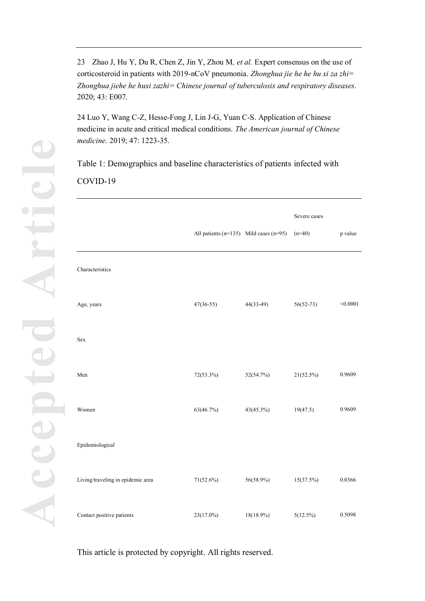23 Zhao J, Hu Y, Du R, Chen Z, Jin Y, Zhou M*, et al.* Expert consensus on the use of corticosteroid in patients with 2019-nCoV pneumonia. *Zhonghua jie he he hu xi za zhi= Zhonghua jiehe he huxi zazhi= Chinese journal of tuberculosis and respiratory diseases*. 2020; 43: E007.

24 Luo Y, Wang C-Z, Hesse-Fong J, Lin J-G, Yuan C-S. Application of Chinese medicine in acute and critical medical conditions. *The American journal of Chinese medicine*. 2019; 47: 1223-35.

Table 1: Demographics and baseline characteristics of patients infected with COVID-19

|                                   | All patients $(n=135)$ Mild cases $(n=95)$ |             | Severe cases<br>$(n=40)$ | p value  |
|-----------------------------------|--------------------------------------------|-------------|--------------------------|----------|
| Characteristics                   |                                            |             |                          |          |
| Age, years                        | $47(36-55)$                                | $44(33-49)$ | $56(52-73)$              | < 0.0001 |
| Sex                               |                                            |             |                          |          |
| Men                               | 72(53.3%)                                  | 52(54.7%)   | $21(52.5\%)$             | 0.9609   |
| Women                             | 63(46.7%)                                  | 43(45.3%)   | 19(47.5)                 | 0.9609   |
| Epidemiological                   |                                            |             |                          |          |
| Living/traveling in epidemic area | $71(52.6\%)$                               | 56(58.9%)   | 15(37.5%)                | 0.0366   |
| Contact positive patients         | 23(17.0%)                                  | 18(18.9%)   | 5(12.5%)                 | 0.5098   |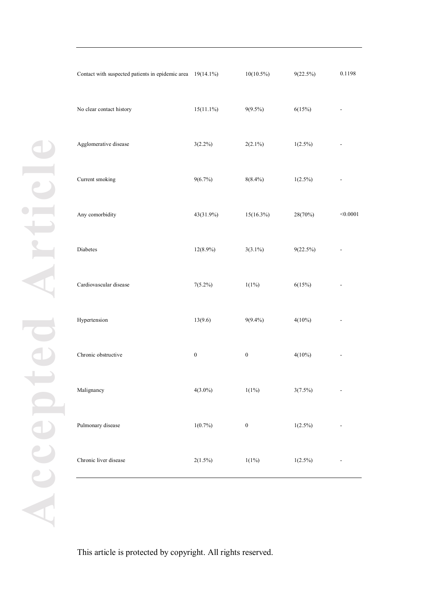| No clear contact history | $15(11.1\%)$     | $9(9.5\%)$       | 6(15%)      | $\overline{\phantom{0}}$     |
|--------------------------|------------------|------------------|-------------|------------------------------|
| Agglomerative disease    | $3(2.2\%)$       | $2(2.1\%)$       | $1(2.5\%)$  | $\overline{a}$               |
| Current smoking          | $9(6.7\%)$       | $8(8.4\%)$       | $1(2.5\%)$  | $\overline{a}$               |
| Any comorbidity          | 43(31.9%)        | $15(16.3\%)$     | 28(70%)     | < 0.0001                     |
| Diabetes                 | $12(8.9\%)$      | $3(3.1\%)$       | $9(22.5\%)$ |                              |
| Cardiovascular disease   | $7(5.2\%)$       | $1(1\%)$         | 6(15%)      |                              |
| Hypertension             | 13(9.6)          | $9(9.4\%)$       | $4(10\%)$   | $\overline{a}$               |
| Chronic obstructive      | $\boldsymbol{0}$ | $\boldsymbol{0}$ | $4(10\%)$   | $\qquad \qquad \blacksquare$ |
| Malignancy               | $4(3.0\%)$       | $1(1\%)$         | $3(7.5\%)$  | $\overline{\phantom{a}}$     |
| Pulmonary disease        | $1(0.7\%)$       | $\boldsymbol{0}$ | $1(2.5\%)$  |                              |
| Chronic liver disease    | $2(1.5\%)$       | $1(1\%)$         | $1(2.5\%)$  |                              |

Contact with suspected patients in epidemic area  $19(14.1\%)$   $10(10.5\%)$   $9(22.5\%)$  0.1198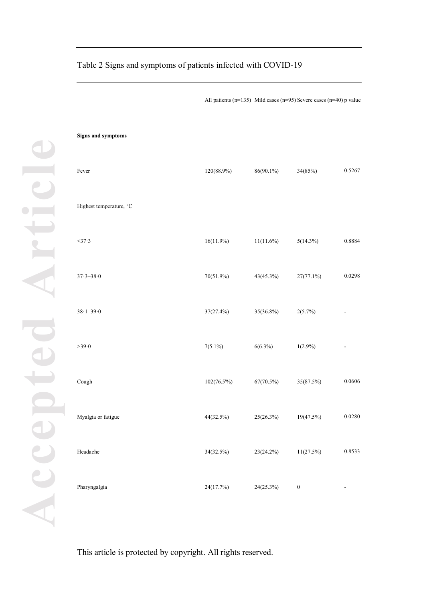| Signs and symptoms      |               |              |                  |        |
|-------------------------|---------------|--------------|------------------|--------|
| Fever                   | 120(88.9%)    | $86(90.1\%)$ | 34(85%)          | 0.5267 |
| Highest temperature, °C |               |              |                  |        |
| $<$ 37.3                | $16(11.9\%)$  | $11(11.6\%)$ | $5(14.3\%)$      | 0.8884 |
| $37.3 - 38.0$           | 70(51.9%)     | 43(45.3%)    | $27(77.1\%)$     | 0.0298 |
| $38.1 - 39.0$           | 37(27.4%)     | 35(36.8%)    | 2(5.7%)          |        |
| >39.0                   | $7(5.1\%)$    | $6(6.3\%)$   | $1(2.9\%)$       |        |
| $\operatorname{Cough}$  | $102(76.5\%)$ | 67(70.5%)    | 35(87.5%)        | 0.0606 |
| Myalgia or fatigue      | 44(32.5%)     | 25(26.3%)    | 19(47.5%)        | 0.0280 |
| Headache                | 34(32.5%)     | 23(24.2%)    | $11(27.5\%)$     | 0.8533 |
| Pharyngalgia            | 24(17.7%)     | 24(25.3%)    | $\boldsymbol{0}$ |        |

## Table 2 Signs and symptoms of patients infected with COVID-19

All patients (n=135) Mild cases (n=95) Severe cases (n=40) p value

This article is protected by copyright. All rights reserved.

**Accepted Article**

Accepted

 $\bullet$   $\Box$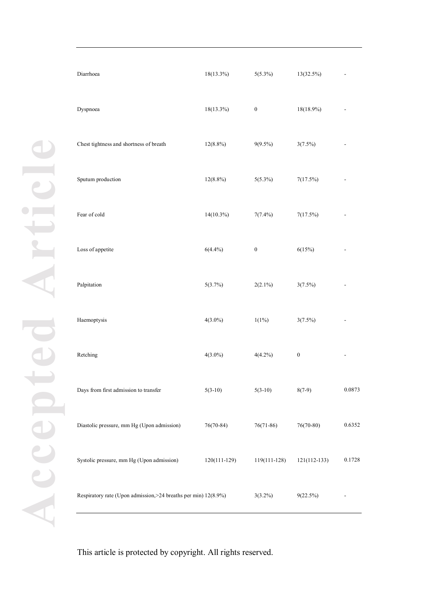| Diarrhoea                                                        | $18(13.3\%)$ | $5(5.3\%)$       | 13(32.5%)        |        |
|------------------------------------------------------------------|--------------|------------------|------------------|--------|
| Dyspnoea                                                         | 18(13.3%)    | $\boldsymbol{0}$ | 18(18.9%)        |        |
| Chest tightness and shortness of breath                          | $12(8.8\%)$  | $9(9.5\%)$       | $3(7.5\%)$       |        |
| Sputum production                                                | $12(8.8\%)$  | $5(5.3\%)$       | 7(17.5%)         |        |
| Fear of cold                                                     | 14(10.3%)    | $7(7.4\%)$       | 7(17.5%)         |        |
| Loss of appetite                                                 | $6(4.4\%)$   | $\boldsymbol{0}$ | 6(15%)           |        |
| Palpitation                                                      | 5(3.7%)      | $2(2.1\%)$       | $3(7.5\%)$       |        |
| Haemoptysis                                                      | $4(3.0\%)$   | $1(1\%)$         | $3(7.5\%)$       |        |
| Retching                                                         | $4(3.0\%)$   | $4(4.2\%)$       | $\boldsymbol{0}$ |        |
| Days from first admission to transfer                            | $5(3-10)$    | $5(3-10)$        | $8(7-9)$         | 0.0873 |
| Diastolic pressure, mm Hg (Upon admission)                       | $76(70-84)$  | $76(71-86)$      | $76(70-80)$      | 0.6352 |
| Systolic pressure, mm Hg (Upon admission)                        | 120(111-129) | 119(111-128)     | $121(112-133)$   | 0.1728 |
| Respiratory rate (Upon admission, > 24 breaths per min) 12(8.9%) |              | $3(3.2\%)$       | $9(22.5\%)$      |        |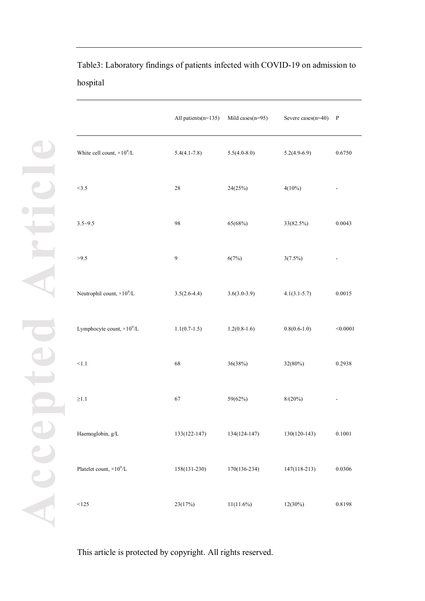|                                   | All patients(n=135) | Mild cases $(n=95)$ | Severe cases $(n=40)$ | $\mathbf{P}$ |
|-----------------------------------|---------------------|---------------------|-----------------------|--------------|
| White cell count, $\times 10^9/L$ | $5.4(4.1 - 7.8)$    | $5.5(4.0-8.0)$      | $5.2(4.9-6.9)$        | 0.6750       |
| <3.5                              | 28                  | 24(25%)             | $4(10\%)$             |              |
| $3.5 - 9.5$                       | 98                  | 65(68%)             | 33(82.5%)             | 0.0043       |
| >9.5                              | 9                   | 6(7%)               | $3(7.5\%)$            |              |
| Neutrophil count, $\times 10^9/L$ | $3.5(2.6-4.4)$      | $3.6(3.0-3.9)$      | $4.1(3.1-5.7)$        | 0.0015       |
| Lymphocyte count, $\times 10^9/L$ | $1.1(0.7-1.5)$      | $1.2(0.8-1.6)$      | $0.8(0.6-1.0)$        | < 0.0001     |
| < 1.1                             | 68                  | 36(38%)             | 32(80%)               | 0.2938       |
| ${\geq}1.1$                       | 67                  | 59(62%)             | $8/(20\%)$            |              |
| Haemoglobin, g/L                  | 133(122-147)        | 134(124-147)        | $130(120-143)$        | 0.1001       |
| Platelet count, $\times 10^9/L$   | 158(131-230)        | 170(136-234)        | 147(118-213)          | 0.0306       |
| < 125                             | 23(17%)             | $11(11.6\%)$        | $12(30\%)$            | 0.8198       |

Table3: Laboratory findings of patients infected with COVID-19 on admission to hospital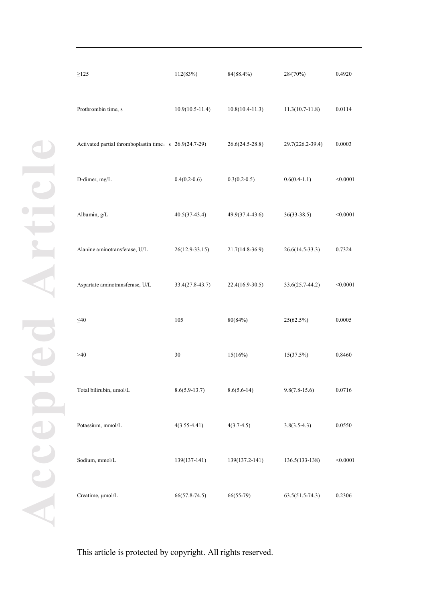| $\geq$ 125                                             | 112(83%)           | 84(88.4%)           | 28/(70%)            | 0.4920   |
|--------------------------------------------------------|--------------------|---------------------|---------------------|----------|
| Prothrombin time, s                                    | $10.9(10.5-11.4)$  | $10.8(10.4 - 11.3)$ | $11.3(10.7 - 11.8)$ | 0.0114   |
| Activated partial thromboplastin time, s 26.9(24.7-29) |                    | $26.6(24.5 - 28.8)$ | 29.7(226.2-39.4)    | 0.0003   |
| D-dimer, mg/L                                          | $0.4(0.2-0.6)$     | $0.3(0.2-0.5)$      | $0.6(0.4-1.1)$      | < 0.0001 |
| Albumin, g/L                                           | $40.5(37-43.4)$    | 49.9(37.4-43.6)     | $36(33-38.5)$       | < 0.0001 |
| Alanine aminotransferase, U/L                          | $26(12.9 - 33.15)$ | 21.7(14.8-36.9)     | $26.6(14.5-33.3)$   | 0.7324   |
| Aspartate aminotransferase, U/L                        | 33.4(27.8-43.7)    | 22.4(16.9-30.5)     | $33.6(25.7-44.2)$   | < 0.0001 |
| $\leq 40$                                              | 105                | 80(84%)             | 25(62.5%)           | 0.0005   |
| >40                                                    | $30\,$             | 15(16%)             | 15(37.5%)           | 0.8460   |
| Total bilirubin, umol/L                                | $8.6(5.9-13.7)$    | $8.6(5.6-14)$       | $9.8(7.8-15.6)$     | 0.0716   |
| Potassium, mmol/L                                      | $4(3.55 - 4.41)$   | $4(3.7-4.5)$        | $3.8(3.5-4.3)$      | 0.0550   |
| Sodium, mmol/L                                         | 139(137-141)       | 139(137.2-141)      | 136.5(133-138)      | < 0.0001 |
| Creatime, µmol/L                                       | $66(57.8-74.5)$    | $66(55-79)$         | $63.5(51.5-74.3)$   | 0.2306   |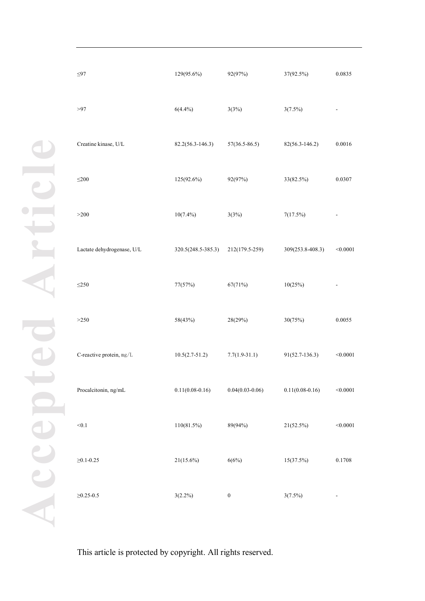| $\leq$ 97                  | 129(95.6%)         | 92(97%)           | 37(92.5%)           | 0.0835   |
|----------------------------|--------------------|-------------------|---------------------|----------|
| >97                        | $6(4.4\%)$         | 3(3%)             | $3(7.5\%)$          |          |
| Creatine kinase, U/L       | 82.2(56.3-146.3)   | $57(36.5 - 86.5)$ | $82(56.3 - 146.2)$  | 0.0016   |
| $\leq$ 200                 | 125(92.6%)         | 92(97%)           | 33(82.5%)           | 0.0307   |
| >200                       | $10(7.4\%)$        | 3(3%)             | 7(17.5%)            |          |
| Lactate dehydrogenase, U/L | 320.5(248.5-385.3) | 212(179.5-259)    | 309(253.8-408.3)    | < 0.0001 |
| $\leq 250$                 | 77(57%)            | 67(71%)           | 10(25%)             |          |
| >250                       | 58(43%)            | 28(29%)           | 30(75%)             | 0.0055   |
| C-reactive protein, mg/L   | $10.5(2.7-51.2)$   | $7.7(1.9-31.1)$   | 91(52.7-136.3)      | < 0.0001 |
| Procalcitonin, ng/mL       | $0.11(0.08-0.16)$  | $0.04(0.03-0.06)$ | $0.11(0.08 - 0.16)$ | < 0.0001 |
| < 0.1                      | 110(81.5%)         | 89(94%)           | 21(52.5%)           | < 0.0001 |
| $\geq 0.1 - 0.25$          | $21(15.6\%)$       | 6(6%)             | 15(37.5%)           | 0.1708   |
| $\geq 0.25 - 0.5$          | $3(2.2\%)$         | $\boldsymbol{0}$  | $3(7.5\%)$          |          |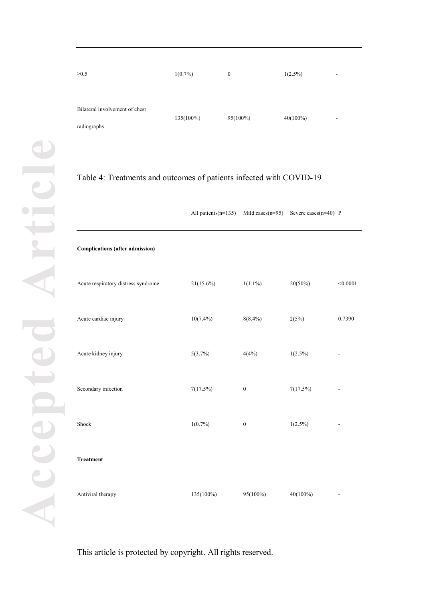| $\geq 0.5$                                    | $1(0.7\%)$   | $\mathbf{0}$ | $1(2.5\%)$<br>$\overline{\phantom{a}}$  |
|-----------------------------------------------|--------------|--------------|-----------------------------------------|
| Bilateral involvement of chest<br>radiographs | $135(100\%)$ | $95(100\%)$  | $40(100\%)$<br>$\overline{\phantom{a}}$ |

# Table 4: Treatments and outcomes of patients infected with COVID-19

|                                        | All patients $(n=135)$ | Mild cases $(n=95)$ | Severe cases $(n=40)$ P |          |
|----------------------------------------|------------------------|---------------------|-------------------------|----------|
| <b>Complications (after admission)</b> |                        |                     |                         |          |
| Acute respiratory distress syndrome    | $21(15.6\%)$           | $1(1.1\%)$          | $20(50\%)$              | < 0.0001 |
| Acute cardiac injury                   | $10(7.4\%)$            | $8(8.4\%)$          | 2(5%)                   | 0.7390   |
| Acute kidney injury                    | 5(3.7%)                | 4(4%)               | $1(2.5\%)$              |          |
| Secondary infection                    | 7(17.5%)               | $\boldsymbol{0}$    | 7(17.5%)                |          |
| Shock                                  | $1(0.7\%)$             | $\boldsymbol{0}$    | $1(2.5\%)$              |          |
| <b>Treatment</b>                       |                        |                     |                         |          |
| Antiviral therapy                      | 135(100%)              | 95(100%)            | 40(100%)                |          |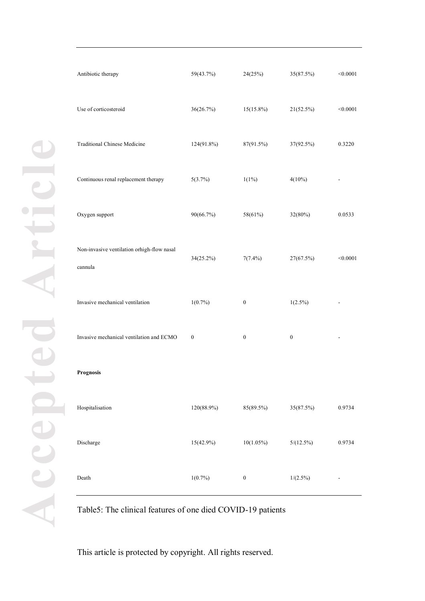| Antibiotic therapy                                    | 59(43.7%)        | 24(25%)          | 35(87.5%)        | < 0.0001 |
|-------------------------------------------------------|------------------|------------------|------------------|----------|
| Use of corticosteroid                                 | 36(26.7%)        | $15(15.8\%)$     | 21(52.5%)        | < 0.0001 |
| <b>Traditional Chinese Medicine</b>                   | 124(91.8%)       | 87(91.5%)        | 37(92.5%)        | 0.3220   |
| Continuous renal replacement therapy                  | 5(3.7%)          | $1(1\%)$         | $4(10\%)$        |          |
| Oxygen support                                        | 90(66.7%)        | 58(61%)          | 32(80%)          | 0.0533   |
| Non-invasive ventilation orhigh-flow nasal<br>cannula | 34(25.2%)        | $7(7.4\%)$       | 27(67.5%)        | < 0.0001 |
| Invasive mechanical ventilation                       | $1(0.7\%)$       | $\boldsymbol{0}$ | $1(2.5\%)$       |          |
| Invasive mechanical ventilation and ECMO              | $\boldsymbol{0}$ | $\boldsymbol{0}$ | $\boldsymbol{0}$ |          |
| Prognosis                                             |                  |                  |                  |          |
| Hospitalisation                                       | 120(88.9%)       | 85(89.5%)        | 35(87.5%)        | 0.9734   |
| Discharge                                             | $15(42.9\%)$     | $10(1.05\%)$     | $5/(12.5\%)$     | 0.9734   |
| Death                                                 | $1(0.7\%)$       | $\boldsymbol{0}$ | $1/(2.5\%)$      |          |

Table5: The clinical features of one died COVID-19 patients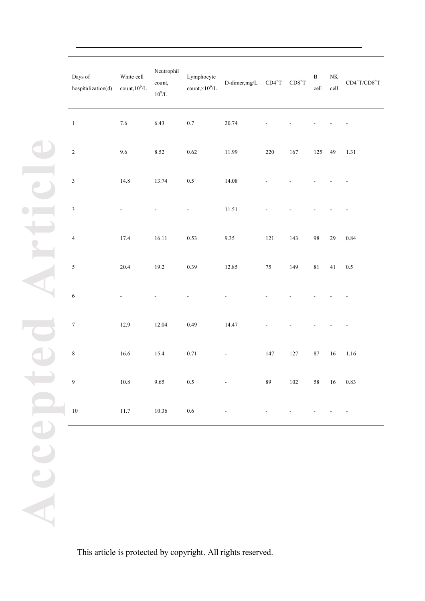| Days of<br>hospitalization(d) | White cell<br>count, $10^9$ /L | Neutrophil<br>count,<br>$10^9/L$ | Lymphocyte<br>count, $\times 10^9$ /L | D-dimer, mg/L            | $CD4+T$ | $\text{CD8}^+\text{T}$ | $\, {\bf B}$<br>$\operatorname{cell}$ | $\rm N K$<br>cell | $\text{CD4}^+\text{T}/\text{CD8}^+\text{T}$ |
|-------------------------------|--------------------------------|----------------------------------|---------------------------------------|--------------------------|---------|------------------------|---------------------------------------|-------------------|---------------------------------------------|
| $\,1\,$                       | $7.6\,$                        | 6.43                             | $0.7\,$                               | 20.74                    |         |                        |                                       |                   |                                             |
| $\sqrt{2}$                    | $9.6\,$                        | 8.52                             | 0.62                                  | 11.99                    | $220\,$ | $167\,$                | 125                                   | 49                | 1.31                                        |
| $\sqrt{3}$                    | 14.8                           | 13.74                            | $0.5\,$                               | 14.08                    |         |                        |                                       |                   |                                             |
| $\sqrt{3}$                    |                                |                                  | $\overline{\phantom{a}}$              | 11.51                    |         |                        |                                       |                   |                                             |
| $\sqrt{4}$                    | 17.4                           | 16.11                            | 0.53                                  | $9.35\,$                 | $121\,$ | 143                    | $\bf{98}$                             | $29\,$            | $0.84\,$                                    |
| $\sqrt{5}$                    | 20.4                           | 19.2                             | 0.39                                  | 12.85                    | $75\,$  | 149                    | $8\sqrt{1}$                           | 41                | $0.5\,$                                     |
| $\sqrt{6}$                    |                                |                                  |                                       |                          |         |                        |                                       |                   |                                             |
| $\boldsymbol{7}$              | 12.9                           | 12.04                            | 0.49                                  | 14.47                    |         |                        |                                       |                   |                                             |
| $\,$ 8 $\,$                   | $16.6\,$                       | 15.4                             | 0.71                                  | $\overline{\phantom{a}}$ | 147     | $127\,$                | $\bf 87$                              | $16\,$            | 1.16                                        |
| 9                             | 10.8                           | 9.65                             | $0.5\,$                               |                          | 89      | 102                    |                                       | 58 16 0.83        |                                             |
| $10\,$                        | $11.7\,$                       | $10.36\,$                        | $0.6\,$                               |                          |         |                        |                                       |                   |                                             |
|                               |                                |                                  |                                       |                          |         |                        |                                       |                   |                                             |
|                               |                                |                                  |                                       |                          |         |                        |                                       |                   |                                             |
|                               |                                |                                  |                                       |                          |         |                        |                                       |                   |                                             |